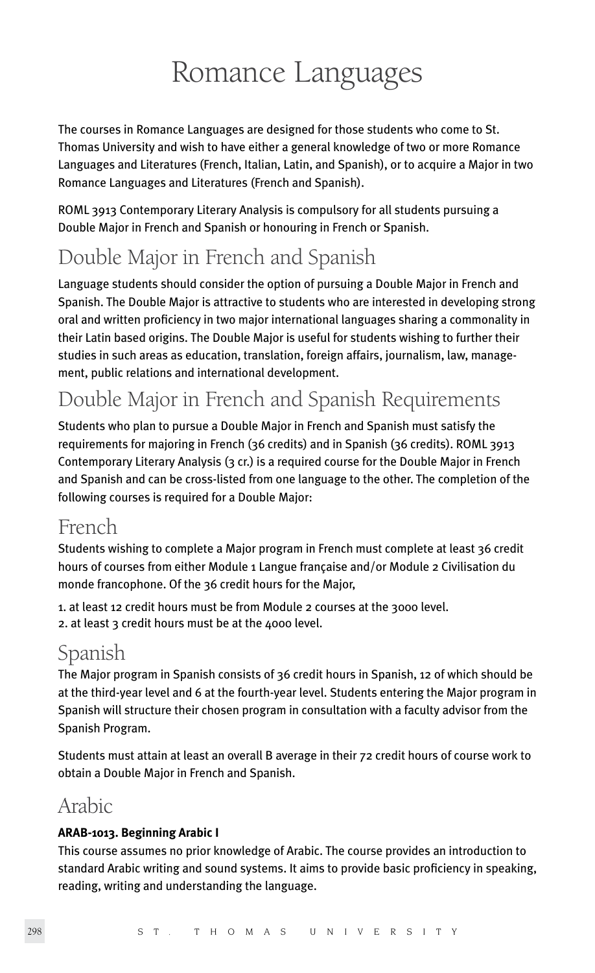# Romance Languages

The courses in Romance Languages are designed for those students who come to St. Thomas University and wish to have either a general knowledge of two or more Romance Languages and Literatures (French, Italian, Latin, and Spanish), or to acquire a Major in two Romance Languages and Literatures (French and Spanish).

ROML 3913 Contemporary Literary Analysis is compulsory for all students pursuing a Double Major in French and Spanish or honouring in French or Spanish.

## Double Major in French and Spanish

Language students should consider the option of pursuing a Double Major in French and Spanish. The Double Major is attractive to students who are interested in developing strong oral and written proficiency in two major international languages sharing a commonality in their Latin based origins. The Double Major is useful for students wishing to further their studies in such areas as education, translation, foreign affairs, journalism, law, management, public relations and international development.

## Double Major in French and Spanish Requirements

Students who plan to pursue a Double Major in French and Spanish must satisfy the requirements for majoring in French (36 credits) and in Spanish (36 credits). ROML 3913 Contemporary Literary Analysis (3 cr.) is a required course for the Double Major in French and Spanish and can be cross-listed from one language to the other. The completion of the following courses is required for a Double Major:

### French

Students wishing to complete a Major program in French must complete at least 36 credit hours of courses from either Module 1 Langue française and/or Module 2 Civilisation du monde francophone. Of the 36 credit hours for the Major,

1. at least 12 credit hours must be from Module 2 courses at the 3000 level. 2. at least 3 credit hours must be at the 4000 level.

## Spanish

The Major program in Spanish consists of 36 credit hours in Spanish, 12 of which should be at the third-year level and 6 at the fourth-year level. Students entering the Major program in Spanish will structure their chosen program in consultation with a faculty advisor from the Spanish Program.

Students must attain at least an overall B average in their 72 credit hours of course work to obtain a Double Major in French and Spanish.

### Arabic

#### **ARAB-1013. Beginning Arabic I**

This course assumes no prior knowledge of Arabic. The course provides an introduction to standard Arabic writing and sound systems. It aims to provide basic proficiency in speaking, reading, writing and understanding the language.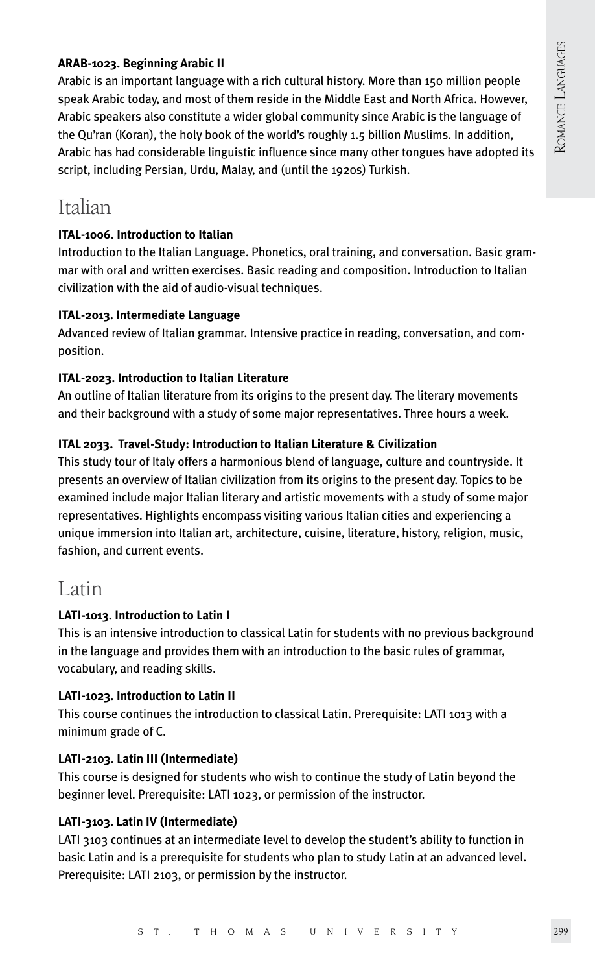#### **ARAB-1023. Beginning Arabic II**

Arabic is an important language with a rich cultural history. More than 150 million people speak Arabic today, and most of them reside in the Middle East and North Africa. However, Arabic speakers also constitute a wider global community since Arabic is the language of the Qu'ran (Koran), the holy book of the world's roughly 1.5 billion Muslims. In addition, Arabic has had considerable linguistic influence since many other tongues have adopted its script, including Persian, Urdu, Malay, and (until the 1920s) Turkish.

### Italian

#### **ITAL-1006. Introduction to Italian**

Introduction to the Italian Language. Phonetics, oral training, and conversation. Basic grammar with oral and written exercises. Basic reading and composition. Introduction to Italian civilization with the aid of audio-visual techniques.

#### **ITAL-2013. Intermediate Language**

Advanced review of Italian grammar. Intensive practice in reading, conversation, and composition.

#### **ITAL-2023. Introduction to Italian Literature**

An outline of Italian literature from its origins to the present day. The literary movements and their background with a study of some major representatives. Three hours a week.

#### **ITAL 2033. Travel-Study: Introduction to Italian Literature & Civilization**

This study tour of Italy offers a harmonious blend of language, culture and countryside. It presents an overview of Italian civilization from its origins to the present day. Topics to be examined include major Italian literary and artistic movements with a study of some major representatives. Highlights encompass visiting various Italian cities and experiencing a unique immersion into Italian art, architecture, cuisine, literature, history, religion, music, fashion, and current events.

### Latin

#### **LATI-1013. Introduction to Latin I**

This is an intensive introduction to classical Latin for students with no previous background in the language and provides them with an introduction to the basic rules of grammar, vocabulary, and reading skills.

#### **LATI-1023. Introduction to Latin II**

This course continues the introduction to classical Latin. Prerequisite: LATI 1013 with a minimum grade of C.

#### **LATI-2103. Latin III (Intermediate)**

This course is designed for students who wish to continue the study of Latin beyond the beginner level. Prerequisite: LATI 1023, or permission of the instructor.

#### **LATI-3103. Latin IV (Intermediate)**

LATI 3103 continues at an intermediate level to develop the student's ability to function in basic Latin and is a prerequisite for students who plan to study Latin at an advanced level. Prerequisite: LATI 2103, or permission by the instructor.